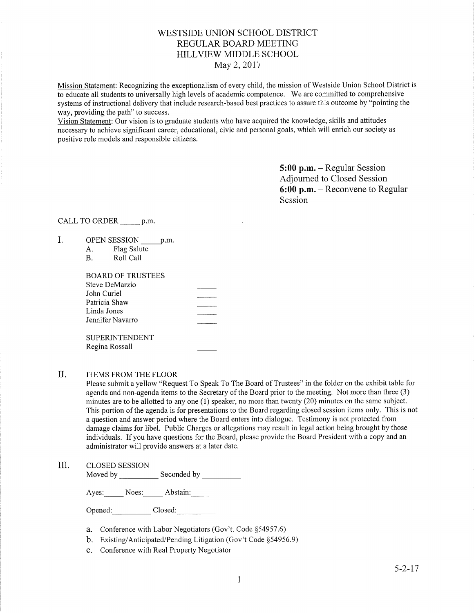## WESTSIDE LINION SCHOOL DISTRICT REGULAR BOARD MEETING HILLVIEW MIDDLE SCHOOL May 2, 2017

Mission Statement: Recognizing the exceptionalism of every child, the mission of Westside Union School District is to educate all students to universally high levels of academic competence. We are committed to comprehensive systems of instructional delivery that include research-based best practices to assure this outcome by "pointing the way, providing the path" to success.

Vision Statement: Our vision is to graduate students who have acquired the knowledge, skills and attitudes necessary to achieve signifîcant career, educational, civic and personal goals, which will enrich our society as positive role models and responsible citizens.

> 5:00 p.m. - Regular Session Adjourned to Closed Session 6:00 p.m. - Reconvene to Regular Session

## CALL TO ORDER \_\_\_\_\_\_ p.m.

- I. OPEN SESSION p.m.
	- A. Flag Salute B. Roll Call
	-

| BOARD OF TRUSTEES     |                   |
|-----------------------|-------------------|
| Steve DeMarzio        |                   |
| John Curiel           |                   |
| Patricia Shaw         | _________________ |
| Linda Jones           |                   |
| Jennifer Navarro      |                   |
|                       |                   |
| <b>SUPERINTENDENT</b> |                   |
| Regina Rossall        |                   |

#### ITEMS FROM THE FLOOR II

Please submit a yellow "Request To Speak To The Board of Trustees" in the folder on the exhibit table for agenda and non-agenda items to the Secretary of the Board prior to the meeting. Not more than three (3) minutes are to be allotted to any one (1) speaker, no more than twenty (20) minutes on the same subject. This portion of the agenda is for presentations to the Board regarding closed session items only. This is not a question and answer period where the Board enters into dialogue. Testimony is not protected from damage claims for libel. Public Charges or allegations may result in legal action being brought by those individuals. If you have questions for the Board, please provide the Board President with a copy and an administrator will provide answers at a later date.

III. CLOSED SESSION

Moved by \_\_\_\_\_\_\_\_\_\_\_\_ Seconded by

Ayes: Noes: Abstain:

Opened: Closed:

- a. Conference with Labor Negotiators (Gov't. Code \$54957.6)
- b. Existing/Anticipated/Pending Litigation (Gov't Code \$54956.9)
- c. Conference with Real Property Negotiator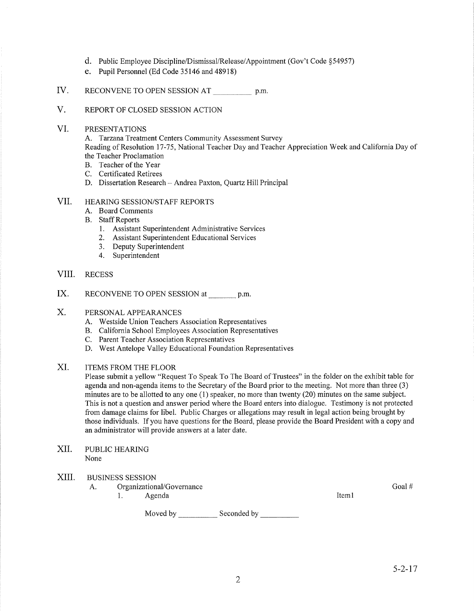- d. Public Employee Discipline/Dismissal/Release/Appointment (Gov't Code \$54957)
- e. Pupil Personnel (Ed Code 35146 and 48918)
- IV. RECONVENE TO OPEN SESSION AT p.m.
- V. REPoRT oF CLoSED SESSIoN ACTIoN
- VI. PRESENTATIONS

A. Tarzana Treatment Centers Community Assessment Survey

Reading of Resolution 17-75, National Teacher Day and Teacher Appreciation Week and Califomia Day of the Teacher Proclamation

- B. Teacher of the Year
- C. Certificated Retirees
- D. Dissertation Research Andrea Paxton, Quartz Hill Principal

## VII. HEARING SESSION/STAFF REPORTS

- A. Board Comments
- B. Staff Reports
	- l. Assistant Superintendent Administrative Services
	- 2. Assistant Superintendent Educational Services
	- 3. Deputy Superintendent
	- 4. Superintendent
- VIII. RECESS
- RECONVENE TO OPEN SESSION at p.m. IX.
- PERSONAL APPEARANCES X.
	- A. Westside Union Teachers Association Representatives
	- B. Califomia School Employees Association Representatives
	- C. Parent Teacher Association Representatives
	- D. West Antelope Valley Educational Foundation Representatives

## XI. ITEMS FROM THE FLOOR

Please submit a yellow "Request To Speak To The Board of Trustees" in the folder on the exhibit table for agenda and non-agenda items to the Secretary of the Board prior to the meeting. Not more than three (3) minutes are to be allotted to any one (1) speaker, no more than twenty (20) minutes on the same subject. This is not a question and answer period where the Board enters into dialogue. Testimony is not protected from damage claims for libel. Public Charges or allegations may result in legal action being brought by those individuals. If you have questions for the Board, please provide the Board President with a copy and an administrator will provide answers at a later date.

- PUBLIC HEARING None XII
- XIII BUSINESS SESSION
	- A. Organizational/Governance 1. Agenda
		-

Moved by \_\_\_\_\_\_\_\_\_\_\_\_\_ Seconded by

Iteml

Goal #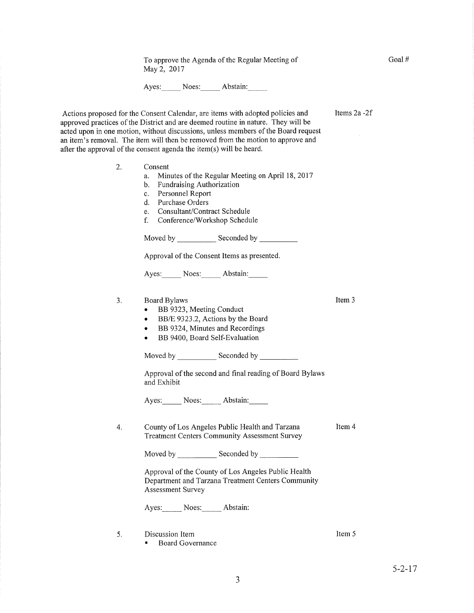To approve the Agenda of the Regular Meeting of May 2, <sup>2017</sup>

Ayes: Noes: Abstain:

Items2a -2f

Goal #

Actions proposed for the Consent Calendar, are items with adopted policies and approved practices of the District and are deemed routine in nature. They will be acted upon in one motion, without discussions, unless members of the Board request an item's removal. The item will then be removed from the motion to approve and after the approval of the consent agenda the item(s) will be heard.

- Consent 2
	- a. Minutes of the Regular Meeting on April 78,2017 b. Fundraising Authorization
	-
	- c. Personnel Report d. Purchase Orders
	-
	- e. Consultant/Contract Schedule
	- f. Conference/Workshop Schedule

Moved by Seconded by

Approval of the Consent Items as presented.

Ayes: Noes: Abstain:

- 3. Board Bylaws
	- BB 9323, Meeting Conduct
	- BB/E 9323.2, Actions by the Board
	- BB 9324, Minutes and Recordings
	- . BB 9400, Board Self-Evaluation

Moved by Seconded bv

Approval of the second and final reading of Board Bylaws and Exhibit

Ayes: Noes: Abstain:

County of Los Angeles Public Health and Tarzana Treatment Centers Community Assessment Survey Item 4 4.

Moved by \_\_\_\_\_\_\_\_\_\_\_\_\_ Seconded by \_\_

Approval of the County of Los Angeles Public Health Department and Tarzana Treatment Centers Community Assessment Survey

Ayes: Noes: Abstain:

Discussion Item 5.

' Board Governance

Item <sup>5</sup>

Item 3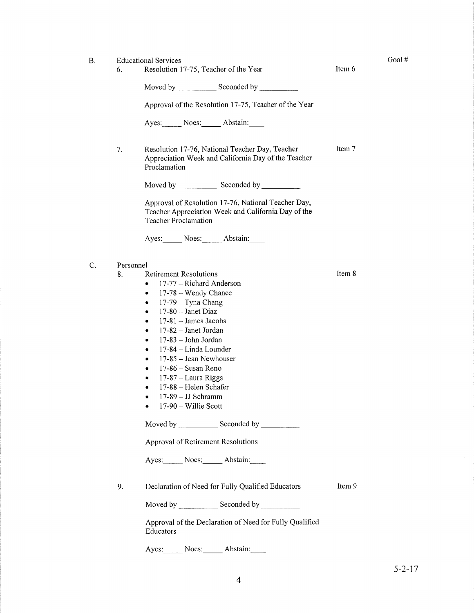- B. Educational Services
	- 6. Resolution 17-75, Teacher of the Year Item 6

Goal #

Item<sub>7</sub>

Item 8

Moved by \_\_\_\_\_\_\_\_\_\_\_\_\_ Seconded by \_

Approval of the Resolution 17-75, Teacher of the Year

Ayes: Noes: Abstain:

7. Resolution 17-76, National Teacher Day, Teacher Appreciation Week and California Day of the Teacher Proclamation

Moved by \_\_\_\_\_\_\_\_\_\_\_\_\_\_\_ Seconded by

Approval of Resolution l7-76, National Teacher Day, Teacher Appreciation Week and California Day of the Teacher Proclamation

Ayes: Noes: Abstain:

- C. Personnel
	- 8. Retirement Resolutions
		- $\bullet$  17-77 Richard Anderson
		- $\bullet$  17-78 Wendy Chance
		- $\bullet$  17-79 Tyna Chang
		- $\bullet$  17-80 Janet Diaz
		- $\bullet$  17-81 James Jacobs
		- $\bullet$  17-82 Janet Jordan
		- $\bullet$  17-83 John Jordan
		- $\bullet$  17-84 Linda Lounder
		- $\bullet$  17-85 Jean Newhouser
		- $\bullet$  17-86 Susan Reno
		- $\bullet$  17-87 Laura Riggs
		- $-17-88$  Helen Schafer
		- $\bullet$  17-89 JJ Schramm
		- $\bullet$  17-90 Willie Scott

Moved by \_\_\_\_\_\_\_\_\_\_\_\_\_ Seconded by \_

Approval of Retirement Resolutions

Ayes: Noes: Abstain:

9. Declaration of Need for Fully Qualified Educators

Item 9

Moved by \_\_\_\_\_\_\_\_\_\_\_\_\_ Seconded by \_

Approval of the Declaration of Need for Fully Qualified Educators

Ayes: Noes: Abstain: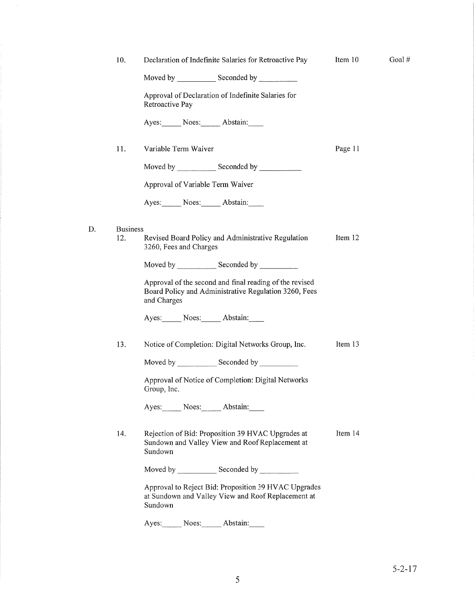| 10.                                              | Declaration of Indefinite Salaries for Retroactive Pay                                                                          | Item 10 |
|--------------------------------------------------|---------------------------------------------------------------------------------------------------------------------------------|---------|
|                                                  | Moved by _______________ Seconded by ____________                                                                               |         |
|                                                  | Approval of Declaration of Indefinite Salaries for<br>Retroactive Pay                                                           |         |
|                                                  | Ayes: Noes: Abstain:                                                                                                            |         |
| 11.                                              | Variable Term Waiver                                                                                                            | Page 11 |
|                                                  | Moved by Seconded by Seconded by                                                                                                |         |
|                                                  | Approval of Variable Term Waiver                                                                                                |         |
|                                                  | Ayes: Noes: Abstain:                                                                                                            |         |
| <b>Business</b><br>12.<br>3260, Fees and Charges | Revised Board Policy and Administrative Regulation                                                                              | Item 12 |
|                                                  |                                                                                                                                 |         |
|                                                  | Approval of the second and final reading of the revised<br>Board Policy and Administrative Regulation 3260, Fees<br>and Charges |         |
|                                                  | Ayes: Noes: Abstain:                                                                                                            |         |
| 13.                                              | Notice of Completion: Digital Networks Group, Inc.                                                                              | Item 13 |
|                                                  |                                                                                                                                 |         |
|                                                  | Approval of Notice of Completion: Digital Networks<br>Group, Inc.                                                               |         |
|                                                  | Ayes: Noes: Abstain:                                                                                                            |         |
| 14.                                              | Rejection of Bid: Proposition 39 HVAC Upgrades at<br>Sundown and Valley View and Roof Replacement at<br>Sundown                 | Item 14 |
|                                                  |                                                                                                                                 |         |
|                                                  | Approval to Reject Bid: Proposition 39 HVAC Upgrades<br>at Sundown and Valley View and Roof Replacement at<br>Sundown           |         |
|                                                  | Noes: Abstain:<br>Ayes:                                                                                                         |         |

D

Goal #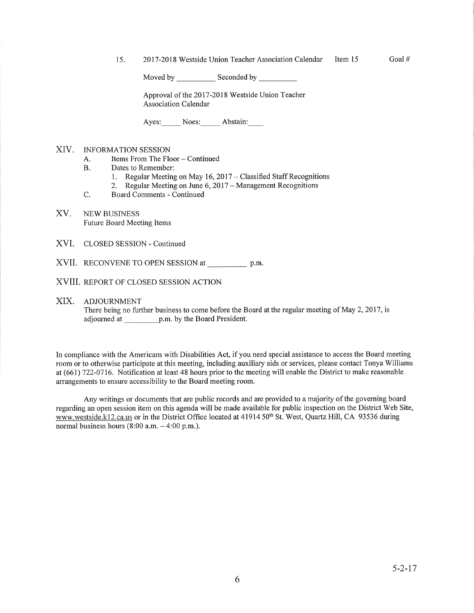15. 2017-2018 Westside Union Teacher Association Calendar Item 15 Goal #

Moved by \_\_\_\_\_\_\_\_\_\_\_\_ Seconded by \_

Approval of the 2017-2018 Westside Union Teacher Association Calendar

Ayes: Noes: Abstain:

### XIV. INFORMATION SESSION

- A. Items From The Floor Continued<br>B. Dates to Remember:
- 
- 1. Regular Meeting on May 16, 2017 Classified Staff Recognitions 2. Regular Meeting on June 6, 2017 Management Recognitions C. Board Comments Continued
	-
- 

#### XV. NEW BUSINESS Future Board Meeting Items

- XVI. CLOSED SESSION Continued
- XVII. RECONVENE TO OPEN SESSION at \_\_\_\_\_\_\_\_\_\_\_ p.m.
- XVIII. REPORT OF CLOSED SESSION ACTION

#### XIX. ADJOURNMENT

There being no further business to come before the Board at the regular meeting of May 2, 2017 , is adjourned at p.m. by the Board President.

In compliance with the Americans with Disabilities Act, if you need special assistance to access the Board meeting room or to otherwise parlicipate at this meeting, including auxiliary aids or services, please contact Tonya Williams at (661) 722-0716. Notification at least 48 hours prior to the meeting will enable the District to make reasonable arrangements to ensure accessibility to the Board meeting room.

Any writings or documents that are public records and are provided to a majority of the governing board regarding an open session item on this agenda will be made available for public inspection on the District Web Site, www.westside.k12.ca.us or in the District Office located at 41914 50<sup>th</sup> St. West, Quartz Hill, CA 93536 during normal business hours  $(8:00 a.m. - 4:00 p.m.).$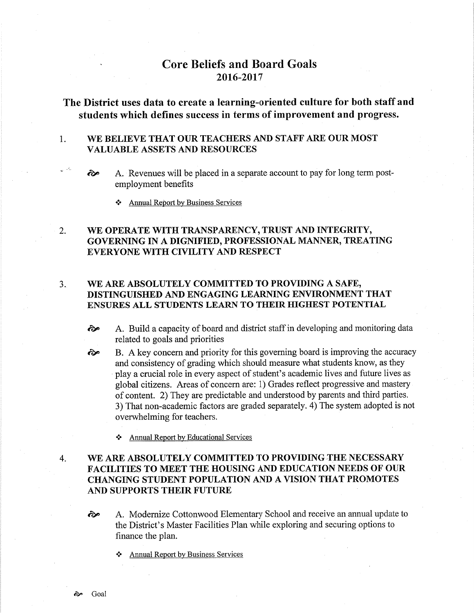# Core Beliefs and Board Goals 2016-2017

The District uses data to create a learning-oriented culture for both staff and students which defines success in terms of improvement and progress.

#### 1 WE BELIEVE THAT OUR TEACHERS AND STAFF ARE OUR MOST VALUABLE ASSETS AND RESOURCES

- $\odot$  A. Revenues will be placed in a separate account to pay for long term postemployment benefits
	- \* Annual ReÞort bv Business Services

#### WE OPERATE WITH TRANSPARENCY, TRUST AND INTEGRITY, GOVERNING IN A DIGNIFIED, PROFESSIONAL MANNER, TREATING EVERYONE WITH CIVILITY AND RESPECT 2.

## 3. WE ARE ABSOLUTELY COMMITTED TO PROVIDING A SAFE, DISTINGUISHED AND ENGAGING LEARNING ENVIRONMENT THAT ENSURES ALL STUDENTS LEARN TO THEIR HIGHEST POTENTIAL

- ôP A. Build a capacity of board and district staff in developing and monitoring data related to goals and priorities
- B. A key concern and priority for this governing board is improving the accuracy and consistency of grading which should measure what students know, as they play a crucial role in every aspect of student's academic lives and future lives as global citizens. Areas of concern are: 1) Grades reflect progressive and mastery of content. 2) They are predictable and understood by parents and third parties. 3) That non-academic factors are graded separately. 4) The system adopted is not overwhelming for teachers.  $\hat{\mathbf{\infty}}$ 
	- Annual Report by Educational Services

#### WE ARE ABSOLUTELY COMMITTED TO PROVIDING THE NECESSARY FACILITIES TO MEET TIIE HOUSING AND EDUCATION NEEDS OF OUR CHANGING STUDENT POPULATION AND A VISION THAT PROMOTES AND SUPPORTS THEIR FUTURE 4

- <sup>2</sup> A. Modernize Cottonwood Elementary School and receive an annual update to the District's Master Facilities Plan while exploring and securing options to finance the plan.
	- Annual Report by Business Services

 $\mathcal{A}_1$